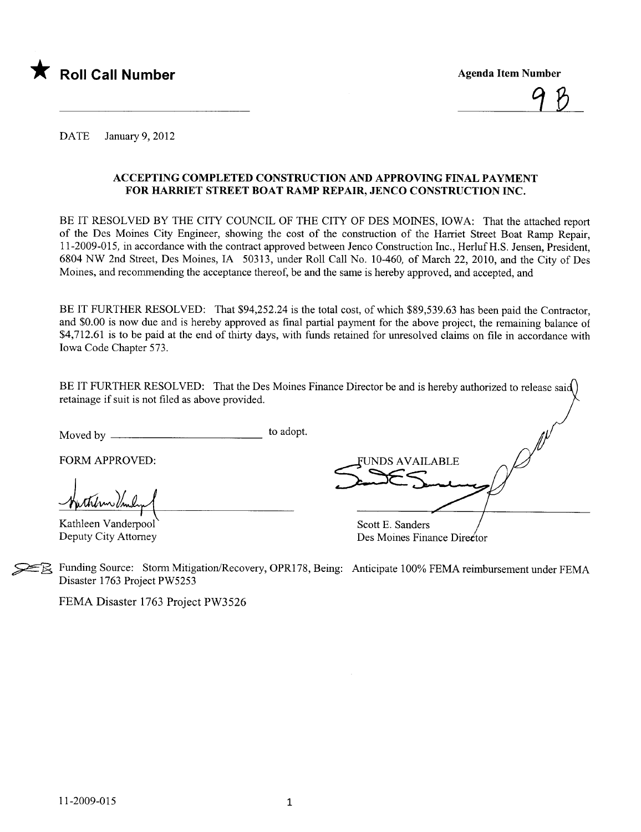

<u>7 D</u>

DATE January 9, 2012

#### ACCEPTING COMPLETED CONSTRUCTION AND APPROVING FINAL PAYMENT FOR HARRIET STREET BOAT RAMP REPAIR, JENCO CONSTRUCTION INC.

BE IT RESOLVED BY THE CITY COUNCIL OF THE CITY OF DES MOINES, IOWA: That the attached report of the Des Moines City Engineer, showing the cost of the construction of the Harriet Street Boat Ramp Repair, 11-2009-015, in accordance with the contract approved between Jenco Construction Inc., Herluf H.S. Jensen, President, 6804 NW 2nd Street, Des Moines, IA 50313, under Roll Call No. 10-460, of March 22, 2010, and the City of Des Moines, and recommending the acceptance thereof, be and the same is hereby approved, and accepted, and

BE IT FURTHER RESOLVED: That \$94,252.24 is the total cost, of which \$89,539.63 has been paid the Contractor, and \$0.00 is now due and is hereby approved as final parial payment for the above project, the remaining balance of \$4,712.61 is to be paid at the end of thirty days, with funds retained for unresolved claims on file in accordance with Iowa Code Chapter 573.

BE IT FURTHER RESOLVED: That the Des Moines Finance Director be and is hereby authorized to release said) retainage if suit is not fied as above provided.

Moved by to adopt.

FORM APPROVED:

-Huthern Under

Kathleen Vanderpool Deputy City Attorney

UNDS AVAILABLE Scott E. Sanders

Des Moines Finance Director

~~ Funding Source: Storm Mitigation/Recovery, OPR178, Being: Anticipate 100% FEMA reimbursement under FEMA Disaster 1763 Project PW5253

FEMA Disaster 1763 Project PW3526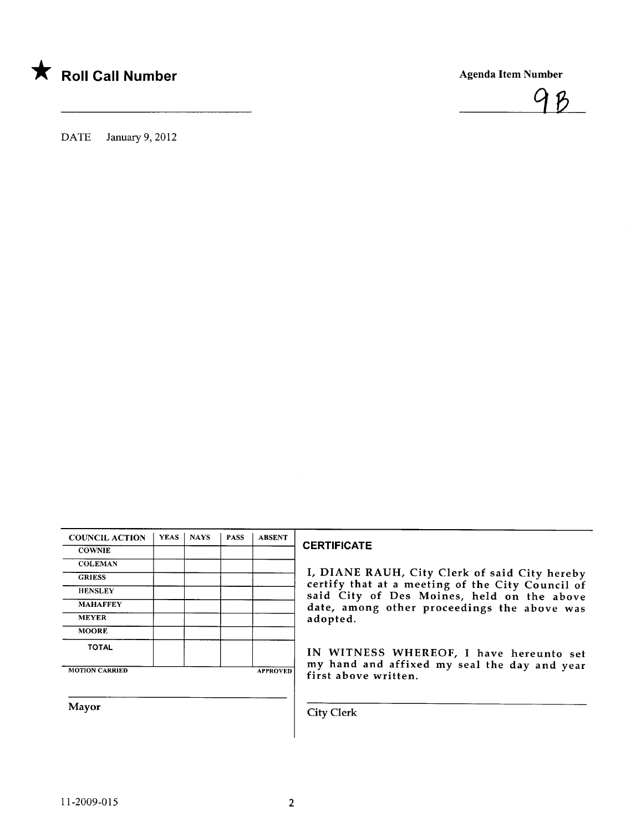



DATE January 9, 2012

| <b>YEAS</b> | <b>NAYS</b> | <b>PASS</b> | <b>ABSENT</b>   |
|-------------|-------------|-------------|-----------------|
|             |             |             |                 |
|             |             |             |                 |
|             |             |             |                 |
|             |             |             |                 |
|             |             |             |                 |
|             |             |             |                 |
|             |             |             |                 |
|             |             |             |                 |
|             |             |             | <b>APPROVED</b> |
|             |             |             |                 |

#### **CERTIFICATE**

I, DIANE RAUH, City Clerk of said City hereby certify that at a meeting of the City Council of said City of Des Moines, held on the above date, among other proceedings the above was adopted.

IN WITNESS WHEREOF, I have hereunto set my hand and affixed my seal the day and year first above written.

Mayor Gity Clerk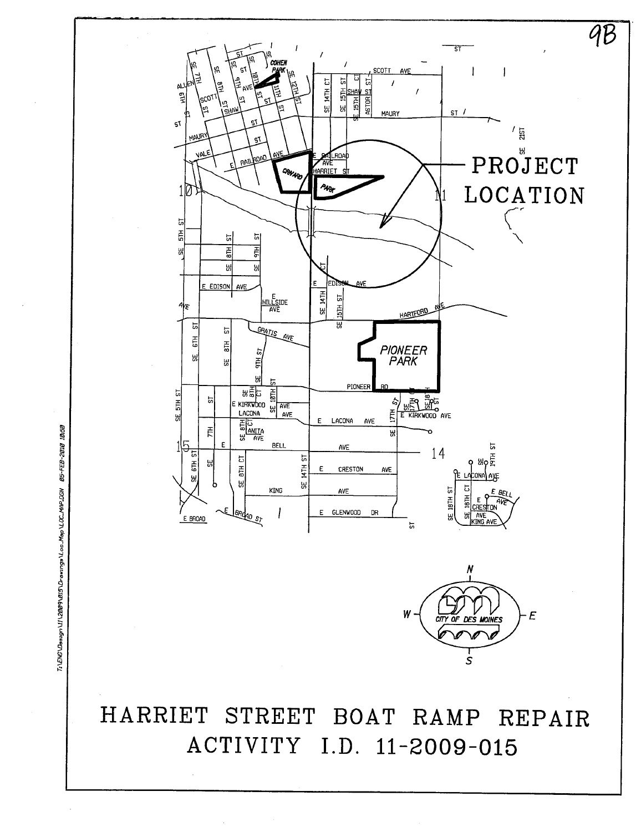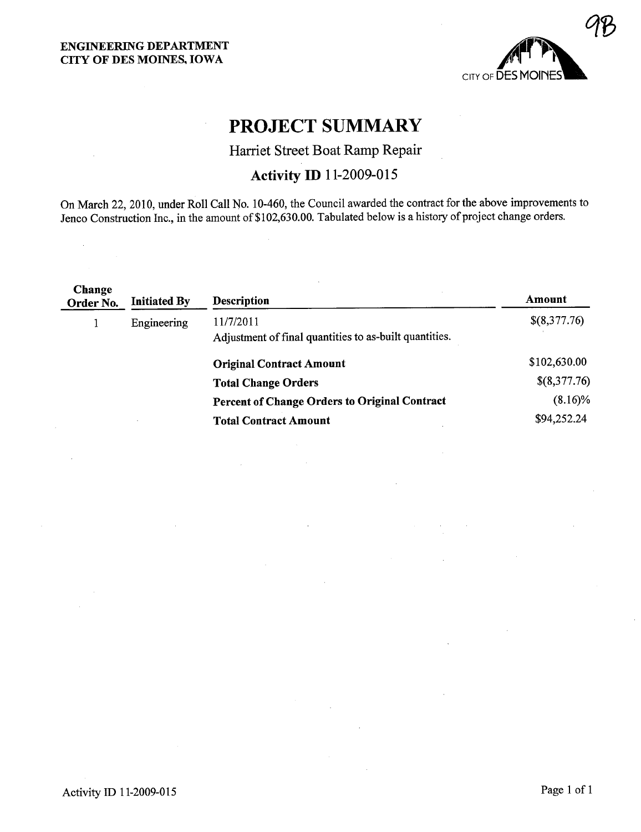$\sim$ 



# PROJECT SUMMARY

### Harriet Street Boat Ramp Repair

## Activity ID 11-2009-015

On March 22,2010, under Roll Call No. 10-460, the Council awarded the contract for the above improvements to Jenco Construction Inc., in the amount of \$102,630.00. Tabulated below is a history of project change orders.

 $\bar{z}$ 

| 11/7/2011<br>Engineering<br>Adjustment of final quantities to as-built quantities. | \$(8,377.76) |
|------------------------------------------------------------------------------------|--------------|
| <b>Original Contract Amount</b>                                                    | \$102,630.00 |
| <b>Total Change Orders</b>                                                         | \$(8,377.76) |
| <b>Percent of Change Orders to Original Contract</b>                               | $(8.16)\%$   |
| <b>Total Contract Amount</b>                                                       | \$94,252.24  |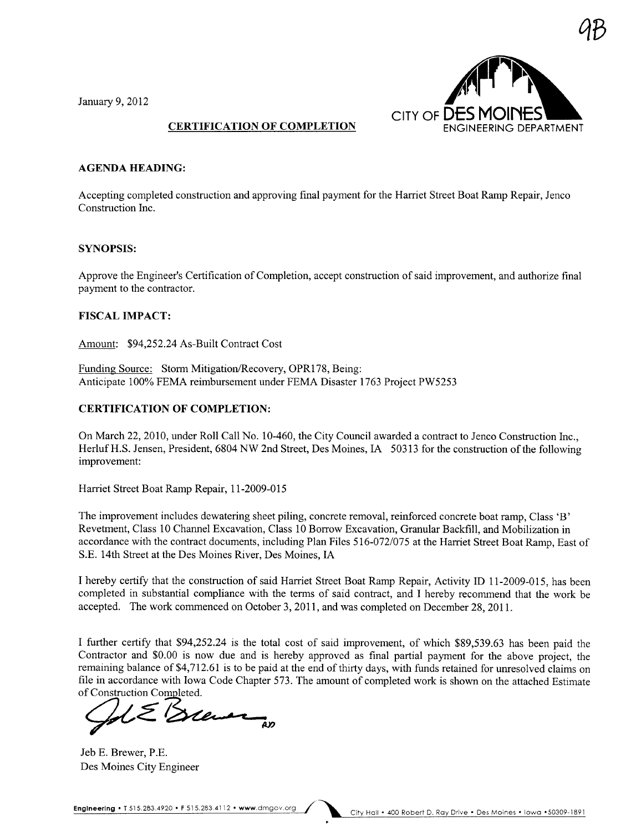January 9,2012



#### CERTIFICATION OF COMPLETION

#### AGENDA HEADING:

Accepting completed construction and approving final payment for the Harriet Street Boat Ramp Repair, Jenco Construction Inc.

#### SYNOPSIS:

Approve the Engineer's Certification of Completion, accept construction of said improvement, and authorize final payment to the contractor.

#### FISCAL IMPACT:

Amount: \$94,252.24 As-Built Contract Cost

Funding Source: Storm Mitigation/Recovery, OPR178, Being: Anticipate 100% FEMA reimbursement under FEMA Disaster 1763 Project PW5253

#### CERTIFICATION OF COMPLETION:

On March 22,2010, under Roll Call No. 10-460, the City Council awarded a contract to Jenco Construction Inc., HerlufH.S. Jensen, President, 6804 NW 2nd Street, Des Moines, IA 50313 for the construction of the following improvement:

Harriet Street Boat Ramp Repair, 11-2009-015

The improvement includes dewatering sheet piling, concrete removal, reinforced concrete boat ramp, Class 'B' Revetment, Class 10 Chanel Excavation, Class 10 Borrow Excavation, Granular Backfill, and Mobilization in accordance with the contract documents, including Plan Files 516-072/075 at the Harret Street Boat Ramp, East of S.E. 14th Street at the Des Moines River, Des Moines, IA

I hereby certify that the construction of said Harriet Street Boat Ramp Repair, Activity ID 11-2009-015, has been completed in substantial compliance with the terms of said contract, and I hereby recommend that the work be accepted. The work commenced on October 3, 2011, and was completed on December 28,2011.

I further certify that \$94,252.24 is the total cost of said improvement, of which \$89,539.63 has been paid the Contractor and \$0.00 is now due and is hereby approved as final partial payment for the above project, the remaining balance of \$4,712.61 is to be paid at the end of thirty days, with funds retained for unresolved claims on file in accordance with Iowa Code Chapter 573. The amount of completed work is shown on the attached Estimate of Construction Completed.

Jeb E. Brewer, P.E. Des Moines City Engineer